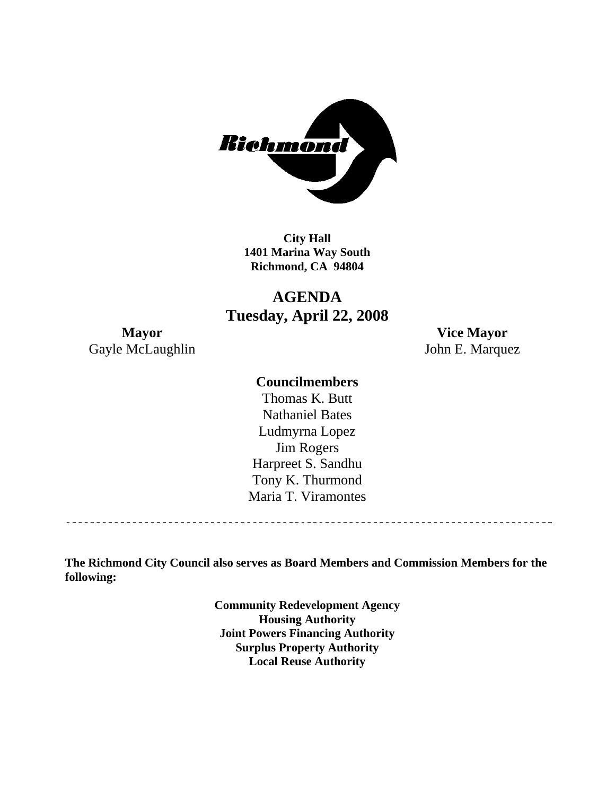

**City Hall 1401 Marina Way South Richmond, CA 94804** 

## **AGENDA Tuesday, April 22, 2008**

Gayle McLaughlin John E. Marquez

**Mayor Vice Mayor** 

## **Councilmembers**

Harpreet S. Sandhu Tony K. Thurmond Maria T. Viramontes Thomas K. Butt Nathaniel Bates Ludmyrna Lopez Jim Rogers

<u>\_\_\_\_\_\_\_\_\_\_\_\_\_\_\_\_\_\_\_\_\_\_\_\_\_\_\_\_\_\_</u>

**The Richmond City Council also serves as Board Members and Commission Members for the following:** 

> **Community Redevelopment Agency Housing Authority Joint Powers Financing Authority Surplus Property Authority Local Reuse Authority**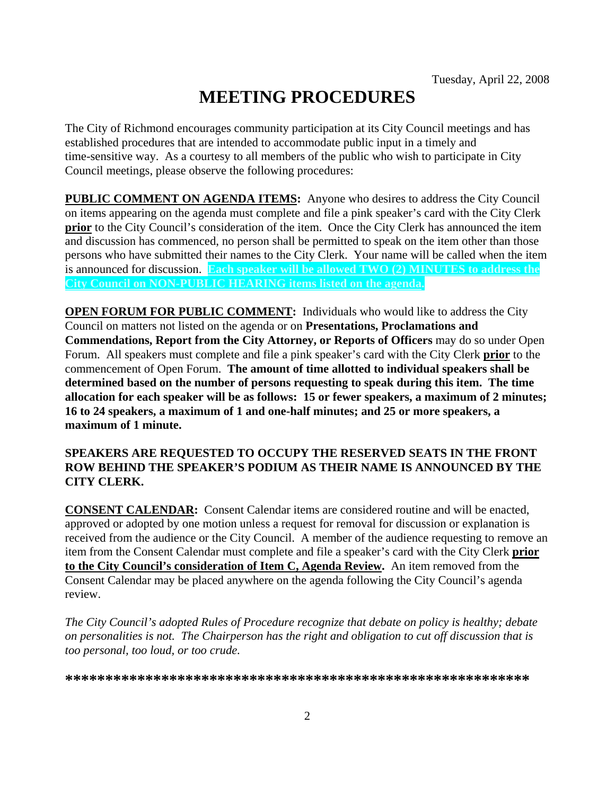# **MEETING PROCEDURES**

The City of Richmond encourages community participation at its City Council meetings and has established procedures that are intended to accommodate public input in a timely and time-sensitive way. As a courtesy to all members of the public who wish to participate in City Council meetings, please observe the following procedures:

**PUBLIC COMMENT ON AGENDA ITEMS:** Anyone who desires to address the City Council on items appearing on the agenda must complete and file a pink speaker's card with the City Clerk **prior** to the City Council's consideration of the item. Once the City Clerk has announced the item and discussion has commenced, no person shall be permitted to speak on the item other than those persons who have submitted their names to the City Clerk. Your name will be called when the item is announced for discussion. **Each speaker will be allowed TWO (2) MINUTES to address the City Council on NON-PUBLIC HEARING items listed on the agenda.** 

**OPEN FORUM FOR PUBLIC COMMENT:** Individuals who would like to address the City Council on matters not listed on the agenda or on **Presentations, Proclamations and Commendations, Report from the City Attorney, or Reports of Officers** may do so under Open Forum. All speakers must complete and file a pink speaker's card with the City Clerk **prior** to the commencement of Open Forum. **The amount of time allotted to individual speakers shall be determined based on the number of persons requesting to speak during this item. The time allocation for each speaker will be as follows: 15 or fewer speakers, a maximum of 2 minutes; 16 to 24 speakers, a maximum of 1 and one-half minutes; and 25 or more speakers, a maximum of 1 minute.** 

#### **SPEAKERS ARE REQUESTED TO OCCUPY THE RESERVED SEATS IN THE FRONT ROW BEHIND THE SPEAKER'S PODIUM AS THEIR NAME IS ANNOUNCED BY THE CITY CLERK.**

**CONSENT CALENDAR:** Consent Calendar items are considered routine and will be enacted, approved or adopted by one motion unless a request for removal for discussion or explanation is received from the audience or the City Council. A member of the audience requesting to remove an item from the Consent Calendar must complete and file a speaker's card with the City Clerk **prior to the City Council's consideration of Item C, Agenda Review.** An item removed from the Consent Calendar may be placed anywhere on the agenda following the City Council's agenda review.

*The City Council's adopted Rules of Procedure recognize that debate on policy is healthy; debate on personalities is not. The Chairperson has the right and obligation to cut off discussion that is too personal, too loud, or too crude.* 

**\*\*\*\*\*\*\*\*\*\*\*\*\*\*\*\*\*\*\*\*\*\*\*\*\*\*\*\*\*\*\*\*\*\*\*\*\*\*\*\*\*\*\*\*\*\*\*\*\*\*\*\*\*\*\*\*\*\***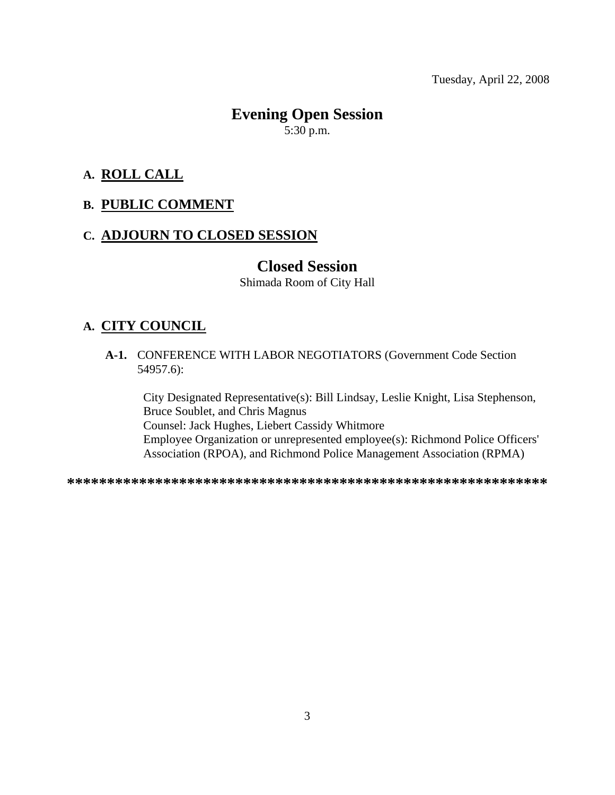Tuesday, April 22, 2008

## **Evening Open Session**  5:30 p.m.

#### **A. ROLL CALL**

#### **B. PUBLIC COMMENT**

#### **C. ADJOURN TO CLOSED SESSION**

## **Closed Session**

Shimada Room of City Hall

#### **A. CITY COUNCIL**

 **A-1.** CONFERENCE WITH LABOR NEGOTIATORS (Government Code Section 54957.6):

City Designated Representative(s): Bill Lindsay, Leslie Knight, Lisa Stephenson, Bruce Soublet, and Chris Magnus Counsel: Jack Hughes, Liebert Cassidy Whitmore Employee Organization or unrepresented employee(s): Richmond Police Officers' Association (RPOA), and Richmond Police Management Association (RPMA)

**\*\*\*\*\*\*\*\*\*\*\*\*\*\*\*\*\*\*\*\*\*\*\*\*\*\*\*\*\*\*\*\*\*\*\*\*\*\*\*\*\*\*\*\*\*\*\*\*\*\*\*\*\*\*\*\*\*\*\*\***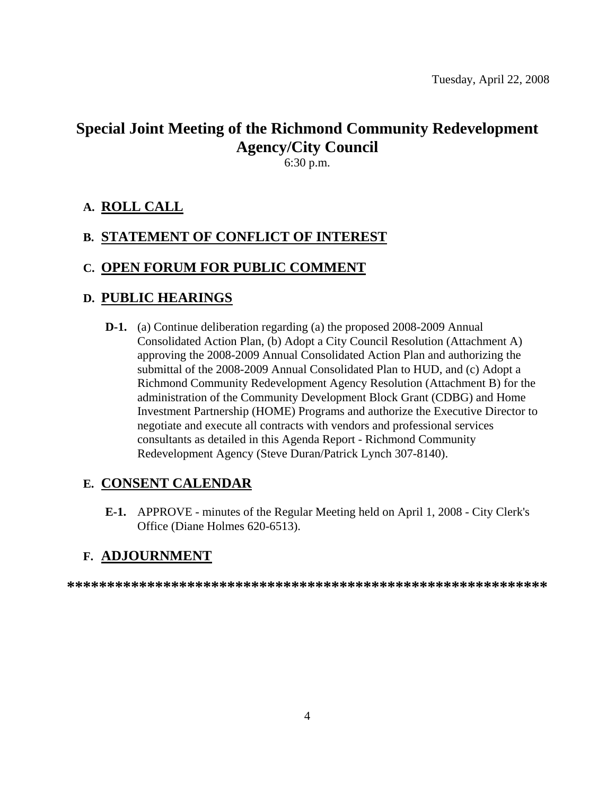## **Special Joint Meeting of the Richmond Community Redevelopment Agency/City Council**

6:30 p.m.

## **A. ROLL CALL**

## **B. STATEMENT OF CONFLICT OF INTEREST**

#### **C. OPEN FORUM FOR PUBLIC COMMENT**

#### **D. PUBLIC HEARINGS**

 **D-1.** (a) Continue deliberation regarding (a) the proposed 2008-2009 Annual Consolidated Action Plan, (b) Adopt a City Council Resolution (Attachment A) approving the 2008-2009 Annual Consolidated Action Plan and authorizing the submittal of the 2008-2009 Annual Consolidated Plan to HUD, and (c) Adopt a Richmond Community Redevelopment Agency Resolution (Attachment B) for the administration of the Community Development Block Grant (CDBG) and Home Investment Partnership (HOME) Programs and authorize the Executive Director to negotiate and execute all contracts with vendors and professional services consultants as detailed in this Agenda Report - Richmond Community Redevelopment Agency (Steve Duran/Patrick Lynch 307-8140).

#### **E. CONSENT CALENDAR**

 **E-1.** APPROVE - minutes of the Regular Meeting held on April 1, 2008 - City Clerk's Office (Diane Holmes 620-6513).

#### **F. ADJOURNMENT**

**\*\*\*\*\*\*\*\*\*\*\*\*\*\*\*\*\*\*\*\*\*\*\*\*\*\*\*\*\*\*\*\*\*\*\*\*\*\*\*\*\*\*\*\*\*\*\*\*\*\*\*\*\*\*\*\*\*\*\*\***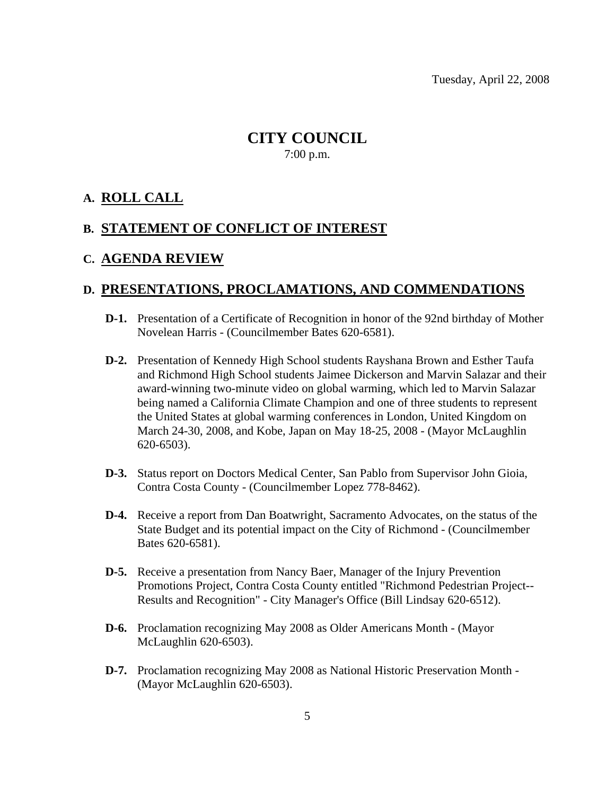Tuesday, April 22, 2008

## **CITY COUNCIL**  7:00 p.m.

## **A. ROLL CALL**

#### **B. STATEMENT OF CONFLICT OF INTEREST**

#### **C. AGENDA REVIEW**

#### **D. PRESENTATIONS, PROCLAMATIONS, AND COMMENDATIONS**

- **D-1.** Presentation of a Certificate of Recognition in honor of the 92nd birthday of Mother Novelean Harris - (Councilmember Bates 620-6581).
- **D-2.** Presentation of Kennedy High School students Rayshana Brown and Esther Taufa and Richmond High School students Jaimee Dickerson and Marvin Salazar and their award-winning two-minute video on global warming, which led to Marvin Salazar being named a California Climate Champion and one of three students to represent the United States at global warming conferences in London, United Kingdom on March 24-30, 2008, and Kobe, Japan on May 18-25, 2008 - (Mayor McLaughlin 620-6503).
- **D-3.** Status report on Doctors Medical Center, San Pablo from Supervisor John Gioia, Contra Costa County - (Councilmember Lopez 778-8462).
- **D-4.** Receive a report from Dan Boatwright, Sacramento Advocates, on the status of the State Budget and its potential impact on the City of Richmond - (Councilmember Bates 620-6581).
- **D-5.** Receive a presentation from Nancy Baer, Manager of the Injury Prevention Promotions Project, Contra Costa County entitled "Richmond Pedestrian Project-- Results and Recognition" - City Manager's Office (Bill Lindsay 620-6512).
- **D-6.** Proclamation recognizing May 2008 as Older Americans Month (Mayor McLaughlin 620-6503).
- **D-7.** Proclamation recognizing May 2008 as National Historic Preservation Month (Mayor McLaughlin 620-6503).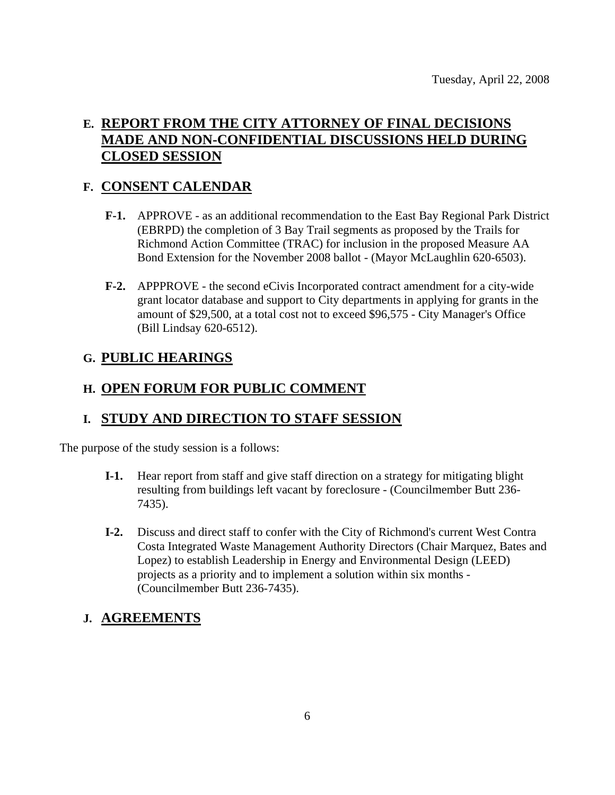## **E. REPORT FROM THE CITY ATTORNEY OF FINAL DECISIONS MADE AND NON-CONFIDENTIAL DISCUSSIONS HELD DURING CLOSED SESSION**

## **F. CONSENT CALENDAR**

- **F-1.** APPROVE as an additional recommendation to the East Bay Regional Park District (EBRPD) the completion of 3 Bay Trail segments as proposed by the Trails for Richmond Action Committee (TRAC) for inclusion in the proposed Measure AA Bond Extension for the November 2008 ballot - (Mayor McLaughlin 620-6503).
- **F-2.** APPPROVE the second eCivis Incorporated contract amendment for a city-wide grant locator database and support to City departments in applying for grants in the amount of \$29,500, at a total cost not to exceed \$96,575 - City Manager's Office (Bill Lindsay 620-6512).

## **G. PUBLIC HEARINGS**

## **H. OPEN FORUM FOR PUBLIC COMMENT**

## **I. STUDY AND DIRECTION TO STAFF SESSION**

The purpose of the study session is a follows:

- **I-1.** Hear report from staff and give staff direction on a strategy for mitigating blight resulting from buildings left vacant by foreclosure - (Councilmember Butt 236- 7435).
- **I-2.** Discuss and direct staff to confer with the City of Richmond's current West Contra Costa Integrated Waste Management Authority Directors (Chair Marquez, Bates and Lopez) to establish Leadership in Energy and Environmental Design (LEED) projects as a priority and to implement a solution within six months - (Councilmember Butt 236-7435).

## **J. AGREEMENTS**